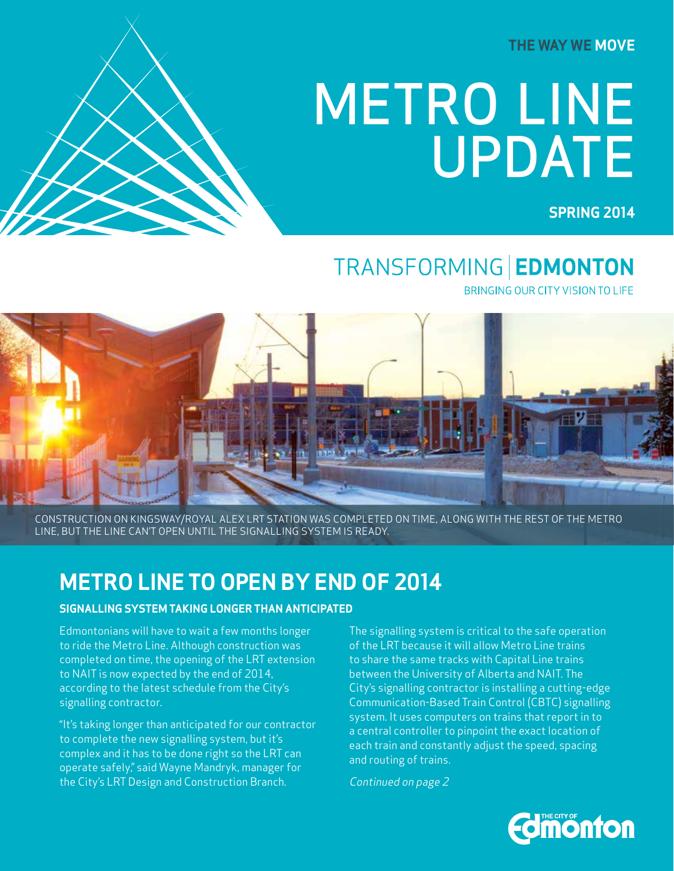**THE WAY WE MOVE**

# METRO LINE UPDATE

 **SPRING 2014**

## TRANSFORMING | EDMONTON

BRINGING OUR CITY VISION TO LIFE



CONSTRUCTION ON KINGSWAY/ROYAL ALEX LRT STATION WAS COMPLETED ON TIME, ALONG WITH THE REST OF THE METRO LINE, BUT THE LINE CAN'T OPEN UNTIL THE SIGNALLING SYSTEM IS READY.

### **METRO LINE TO OPEN BY END OF 2014**

#### **SIGNALLING SYSTEM TAKING LONGER THAN ANTICIPATED**

Edmontonians will have to wait a few months longer to ride the Metro Line. Although construction was completed on time, the opening of the LRT extension to NAIT is now expected by the end of 2014, according to the latest schedule from the City's signalling contractor.

"It's taking longer than anticipated for our contractor to complete the new signalling system, but it's complex and it has to be done right so the LRT can operate safely," said Wayne Mandryk, manager for the City's LRT Design and Construction Branch.

The signalling system is critical to the safe operation of the LRT because it will allow Metro Line trains to share the same tracks with Capital Line trains between the University of Alberta and NAIT. The City's signalling contractor is installing a cutting-edge Communication-Based Train Control (CBTC) signalling system. It uses computers on trains that report in to a central controller to pinpoint the exact location of each train and constantly adjust the speed, spacing and routing of trains.

Continued on page 2

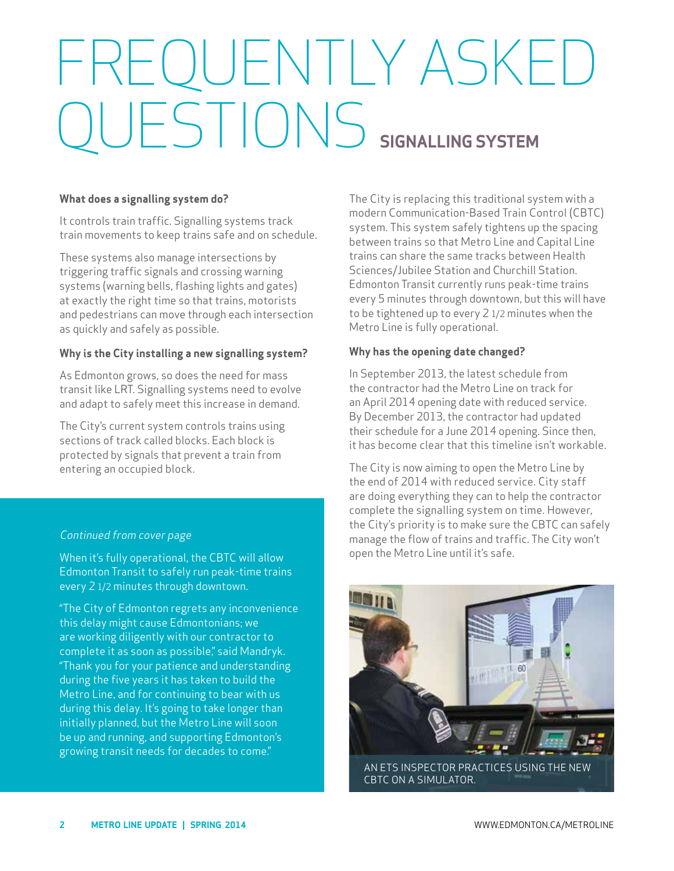# FREQUENTLY ASKED QUESTIONS **SIGNALLING SYSTEM**

#### **What does a signalling system do?**

It controls train traffic. Signalling systems track train movements to keep trains safe and on schedule.

These systems also manage intersections by triggering traffic signals and crossing warning systems (warning bells, flashing lights and gates) at exactly the right time so that trains, motorists and pedestrians can move through each intersection as quickly and safely as possible.

#### **Why is the City installing a new signalling system?**

As Edmonton grows, so does the need for mass transit like LRT. Signalling systems need to evolve and adapt to safely meet this increase in demand.

The City's current system controls trains using sections of track called blocks. Each block is protected by signals that prevent a train from entering an occupied block.

#### Continued from cover page

When it's fully operational, the CBTC will allow Edmonton Transit to safely run peak-time trains every 2 1/2 minutes through downtown.

"The City of Edmonton regrets any inconvenience this delay might cause Edmontonians; we are working diligently with our contractor to complete it as soon as possible," said Mandryk. "Thank you for your patience and understanding during the five years it has taken to build the Metro Line, and for continuing to bear with us during this delay. It's going to take longer than initially planned, but the Metro Line will soon be up and running, and supporting Edmonton's growing transit needs for decades to come."

The City is replacing this traditional system with a modern Communication-Based Train Control (CBTC) system. This system safely tightens up the spacing between trains so that Metro Line and Capital Line trains can share the same tracks between Health Sciences/Jubilee Station and Churchill Station. Edmonton Transit currently runs peak-time trains every 5 minutes through downtown, but this will have to be tightened up to every  $2$  1/2 minutes when the Metro Line is fully operational.

#### **Why has the opening date changed?**

In September 2013, the latest schedule from the contractor had the Metro Line on track for an April 2014 opening date with reduced service. By December 2013, the contractor had updated their schedule for a June 2014 opening. Since then, it has become clear that this timeline isn't workable.

The City is now aiming to open the Metro Line by the end of 2014 with reduced service. City staff are doing everything they can to help the contractor complete the signalling system on time. However, the City's priority is to make sure the CBTC can safely manage the flow of trains and traffic. The City won't open the Metro Line until it's safe.

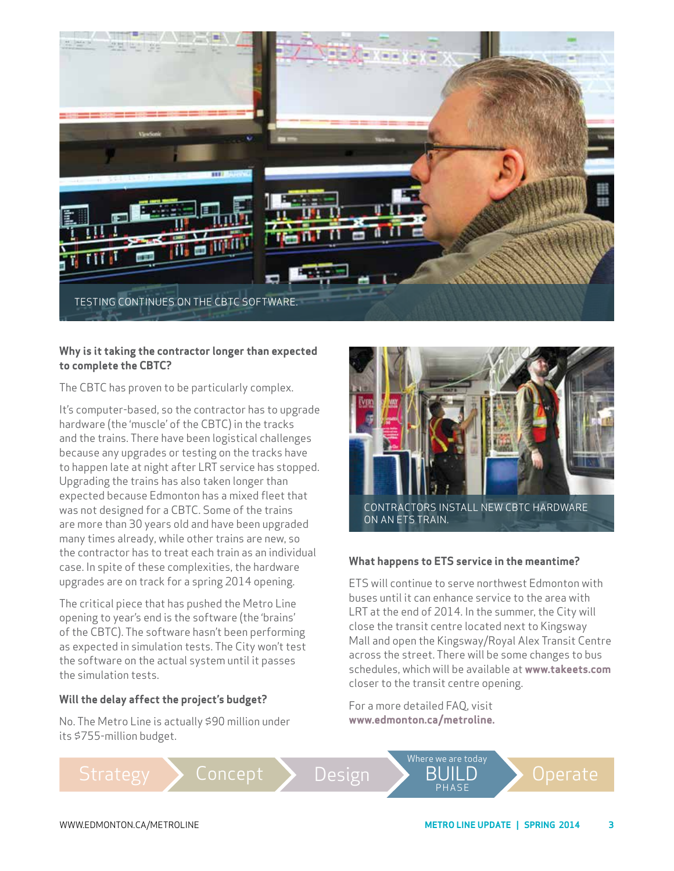

#### **Why is it taking the contractor longer than expected to complete the CBTC?**

The CBTC has proven to be particularly complex.

It's computer-based, so the contractor has to upgrade hardware (the 'muscle' of the CBTC) in the tracks and the trains. There have been logistical challenges because any upgrades or testing on the tracks have to happen late at night after LRT service has stopped. Upgrading the trains has also taken longer than expected because Edmonton has a mixed fleet that was not designed for a CBTC. Some of the trains are more than 30 years old and have been upgraded many times already, while other trains are new, so the contractor has to treat each train as an individual case. In spite of these complexities, the hardware upgrades are on track for a spring 2014 opening.

The critical piece that has pushed the Metro Line opening to year's end is the software (the 'brains' of the CBTC). The software hasn't been performing as expected in simulation tests. The City won't test the software on the actual system until it passes the simulation tests.

#### **Will the delay affect the project's budget?**

No. The Metro Line is actually \$90 million under its \$755-million budget.



#### **What happens to ETS service in the meantime?**

ETS will continue to serve northwest Edmonton with buses until it can enhance service to the area with LRT at the end of 2014. In the summer, the City will close the transit centre located next to Kingsway Mall and open the Kingsway/Royal Alex Transit Centre across the street. There will be some changes to bus schedules, which will be available at **www.takeets.com**  closer to the transit centre opening.

For a more detailed FAQ, visit **www.edmonton.ca/metroline.**